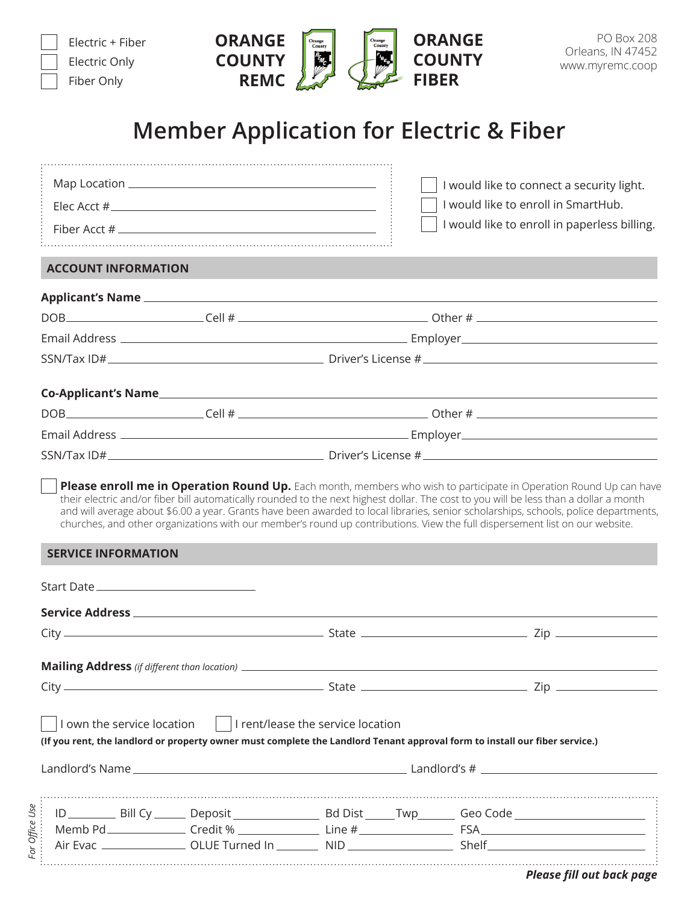*For Office Use*

For Office Use

Electric + Fiber Electric Only

Fiber Only



## **Member Application for Electric & Fiber**

|                            |                                                                                                                                                                                                    |  |  | I would like to connect a security light.                                                                                                                                                                                                                                                                                                                                                                    |
|----------------------------|----------------------------------------------------------------------------------------------------------------------------------------------------------------------------------------------------|--|--|--------------------------------------------------------------------------------------------------------------------------------------------------------------------------------------------------------------------------------------------------------------------------------------------------------------------------------------------------------------------------------------------------------------|
|                            | $Elec Acct # _______$                                                                                                                                                                              |  |  | I would like to enroll in SmartHub.                                                                                                                                                                                                                                                                                                                                                                          |
|                            |                                                                                                                                                                                                    |  |  | I would like to enroll in paperless billing.                                                                                                                                                                                                                                                                                                                                                                 |
|                            |                                                                                                                                                                                                    |  |  |                                                                                                                                                                                                                                                                                                                                                                                                              |
| <b>ACCOUNT INFORMATION</b> |                                                                                                                                                                                                    |  |  |                                                                                                                                                                                                                                                                                                                                                                                                              |
|                            |                                                                                                                                                                                                    |  |  |                                                                                                                                                                                                                                                                                                                                                                                                              |
|                            |                                                                                                                                                                                                    |  |  |                                                                                                                                                                                                                                                                                                                                                                                                              |
|                            |                                                                                                                                                                                                    |  |  |                                                                                                                                                                                                                                                                                                                                                                                                              |
|                            |                                                                                                                                                                                                    |  |  |                                                                                                                                                                                                                                                                                                                                                                                                              |
|                            |                                                                                                                                                                                                    |  |  |                                                                                                                                                                                                                                                                                                                                                                                                              |
|                            |                                                                                                                                                                                                    |  |  |                                                                                                                                                                                                                                                                                                                                                                                                              |
|                            |                                                                                                                                                                                                    |  |  |                                                                                                                                                                                                                                                                                                                                                                                                              |
|                            |                                                                                                                                                                                                    |  |  |                                                                                                                                                                                                                                                                                                                                                                                                              |
|                            | Please enroll me in Operation Round Up. Each month, members who wish to participate in Operation Round Up can have                                                                                 |  |  | their electric and/or fiber bill automatically rounded to the next highest dollar. The cost to you will be less than a dollar a month<br>and will average about \$6.00 a year. Grants have been awarded to local libraries, senior scholarships, schools, police departments,<br>churches, and other organizations with our member's round up contributions. View the full dispersement list on our website. |
| <b>SERVICE INFORMATION</b> |                                                                                                                                                                                                    |  |  |                                                                                                                                                                                                                                                                                                                                                                                                              |
|                            |                                                                                                                                                                                                    |  |  |                                                                                                                                                                                                                                                                                                                                                                                                              |
|                            |                                                                                                                                                                                                    |  |  |                                                                                                                                                                                                                                                                                                                                                                                                              |
|                            | Mailing Address (if different than location) ___________________________________                                                                                                                   |  |  |                                                                                                                                                                                                                                                                                                                                                                                                              |
|                            |                                                                                                                                                                                                    |  |  |                                                                                                                                                                                                                                                                                                                                                                                                              |
|                            | I own the service location $\ $   I rent/lease the service location<br>(If you rent, the landlord or property owner must complete the Landlord Tenant approval form to install our fiber service.) |  |  |                                                                                                                                                                                                                                                                                                                                                                                                              |
|                            |                                                                                                                                                                                                    |  |  |                                                                                                                                                                                                                                                                                                                                                                                                              |
|                            |                                                                                                                                                                                                    |  |  |                                                                                                                                                                                                                                                                                                                                                                                                              |
|                            |                                                                                                                                                                                                    |  |  | ID __________ Bill Cy _______ Deposit _________________ Bd Dist ______Twp _______ Geo Code ___________________                                                                                                                                                                                                                                                                                               |
|                            |                                                                                                                                                                                                    |  |  |                                                                                                                                                                                                                                                                                                                                                                                                              |